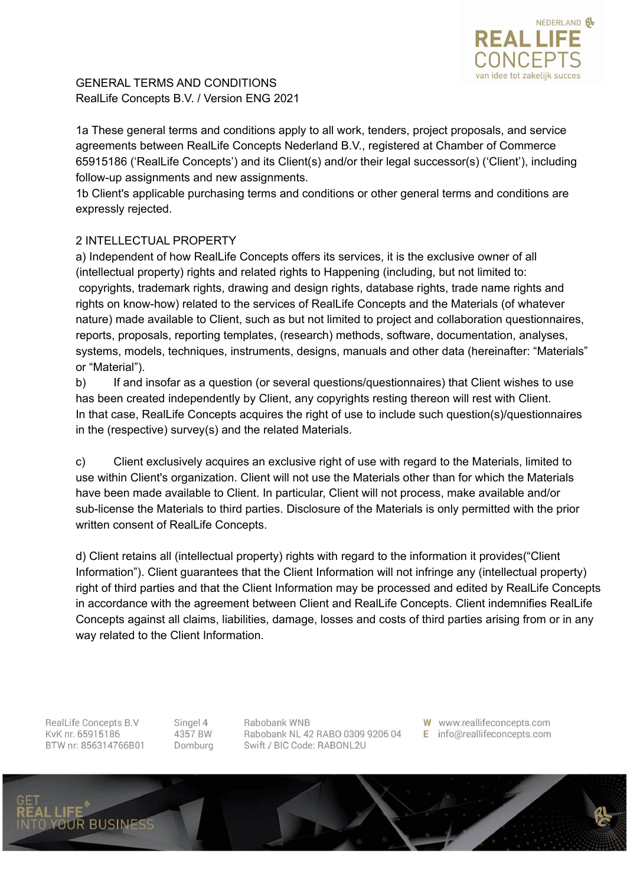

GENERAL TERMS AND CONDITIONS RealLife Concepts B.V. / Version ENG 2021

1a These general terms and conditions apply to all work, tenders, project proposals, and service agreements between RealLife Concepts Nederland B.V., registered at Chamber of Commerce 65915186 ('RealLife Concepts') and its Client(s) and/or their legal successor(s) ('Client'), including follow-up assignments and new assignments.

1b Client's applicable purchasing terms and conditions or other general terms and conditions are expressly rejected.

# 2 INTELLECTUAL PROPERTY

a) Independent of how RealLife Concepts offers its services, it is the exclusive owner of all (intellectual property) rights and related rights to Happening (including, but not limited to: copyrights, trademark rights, drawing and design rights, database rights, trade name rights and rights on know-how) related to the services of RealLife Concepts and the Materials (of whatever nature) made available to Client, such as but not limited to project and collaboration questionnaires, reports, proposals, reporting templates, (research) methods, software, documentation, analyses, systems, models, techniques, instruments, designs, manuals and other data (hereinafter: "Materials" or "Material").

b) If and insofar as a question (or several questions/questionnaires) that Client wishes to use has been created independently by Client, any copyrights resting thereon will rest with Client. In that case, RealLife Concepts acquires the right of use to include such question(s)/questionnaires in the (respective) survey(s) and the related Materials.

c) Client exclusively acquires an exclusive right of use with regard to the Materials, limited to use within Client's organization. Client will not use the Materials other than for which the Materials have been made available to Client. In particular, Client will not process, make available and/or sub-license the Materials to third parties. Disclosure of the Materials is only permitted with the prior written consent of RealLife Concepts.

d) Client retains all (intellectual property) rights with regard to the information it provides("Client Information"). Client guarantees that the Client Information will not infringe any (intellectual property) right of third parties and that the Client Information may be processed and edited by RealLife Concepts in accordance with the agreement between Client and RealLife Concepts. Client indemnifies RealLife Concepts against all claims, liabilities, damage, losses and costs of third parties arising from or in any way related to the Client Information.

RealLife Concepts B.V KvK nr. 65915186 BTW nr: 856314766B01

**BUSINE** 

Singel 4 4357 BW Domburg Rabobank WNB Rabobank NL 42 RABO 0309 9206 04 Swift / BIC Code: RABONL2U

W www.reallifeconcepts.com E info@reallifeconcepts.com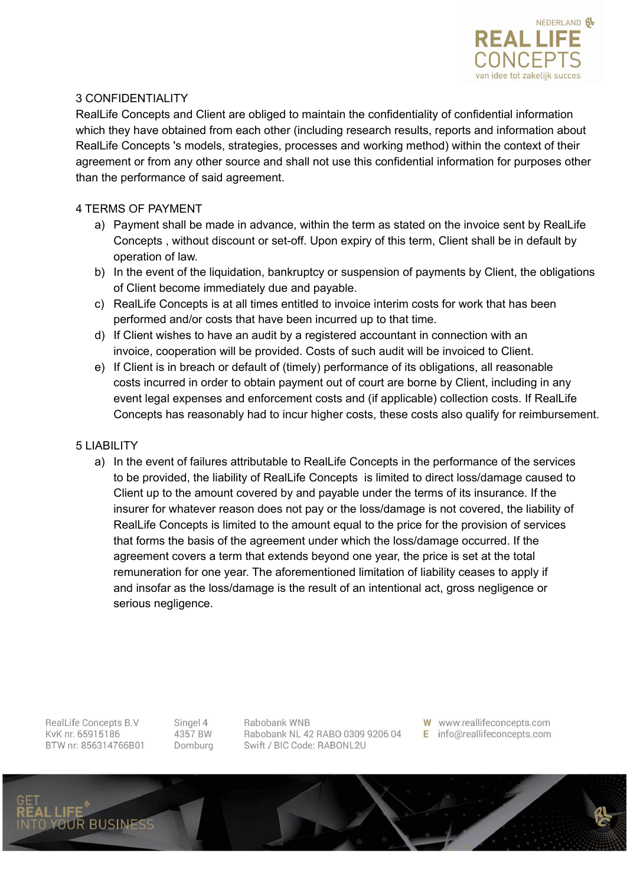

## 3 CONFIDENTIALITY

RealLife Concepts and Client are obliged to maintain the confidentiality of confidential information which they have obtained from each other (including research results, reports and information about RealLife Concepts 's models, strategies, processes and working method) within the context of their agreement or from any other source and shall not use this confidential information for purposes other than the performance of said agreement.

### 4 TERMS OF PAYMENT

- a) Payment shall be made in advance, within the term as stated on the invoice sent by RealLife Concepts , without discount or set-off. Upon expiry of this term, Client shall be in default by operation of law.
- b) In the event of the liquidation, bankruptcy or suspension of payments by Client, the obligations of Client become immediately due and payable.
- c) RealLife Concepts is at all times entitled to invoice interim costs for work that has been performed and/or costs that have been incurred up to that time.
- d) If Client wishes to have an audit by a registered accountant in connection with an invoice, cooperation will be provided. Costs of such audit will be invoiced to Client.
- e) If Client is in breach or default of (timely) performance of its obligations, all reasonable costs incurred in order to obtain payment out of court are borne by Client, including in any event legal expenses and enforcement costs and (if applicable) collection costs. If RealLife Concepts has reasonably had to incur higher costs, these costs also qualify for reimbursement.

#### 5 LIABILITY

a) In the event of failures attributable to RealLife Concepts in the performance of the services to be provided, the liability of RealLife Concepts is limited to direct loss/damage caused to Client up to the amount covered by and payable under the terms of its insurance. If the insurer for whatever reason does not pay or the loss/damage is not covered, the liability of RealLife Concepts is limited to the amount equal to the price for the provision of services that forms the basis of the agreement under which the loss/damage occurred. If the agreement covers a term that extends beyond one year, the price is set at the total remuneration for one year. The aforementioned limitation of liability ceases to apply if and insofar as the loss/damage is the result of an intentional act, gross negligence or serious negligence.

RealLife Concepts B.V KvK nr. 65915186 BTW nr: 856314766B01 Singel 4 4357 BW Domburg Rabobank WNB Rabobank NL 42 RABO 0309 9206 04 Swift / BIC Code: RABONL2U

W www.reallifeconcepts.com E info@reallifeconcepts.com